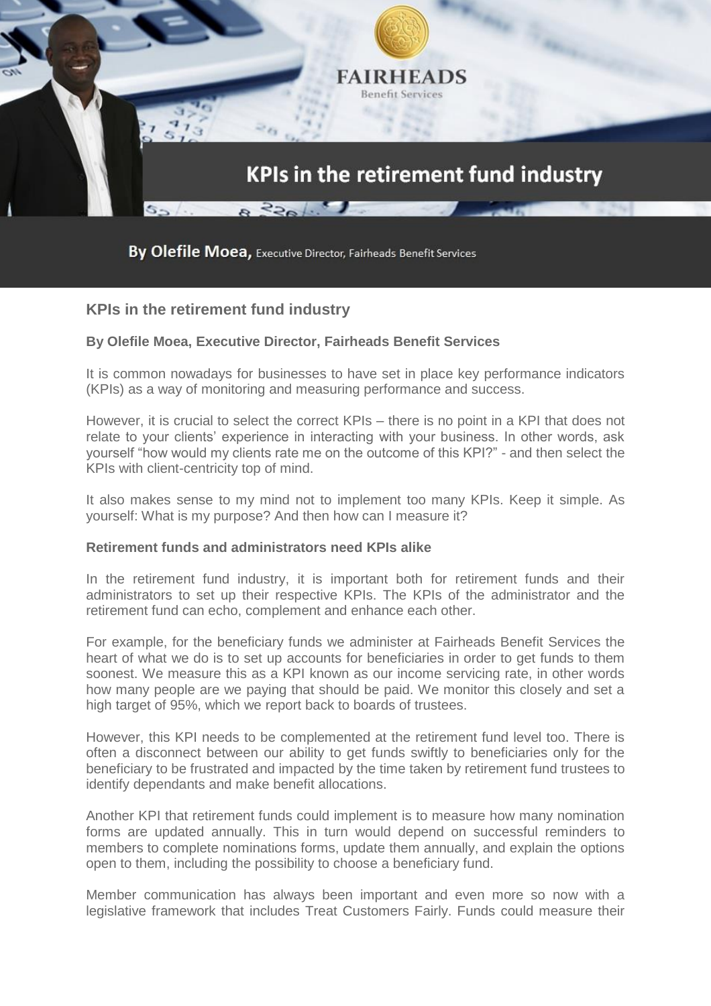

By Olefile Moea, Executive Director, Fairheads Benefit Services

## **KPIs in the retirement fund industry**

## **By Olefile Moea, Executive Director, Fairheads Benefit Services**

It is common nowadays for businesses to have set in place key performance indicators (KPIs) as a way of monitoring and measuring performance and success.

However, it is crucial to select the correct KPIs – there is no point in a KPI that does not relate to your clients' experience in interacting with your business. In other words, ask yourself "how would my clients rate me on the outcome of this KPI?" - and then select the KPIs with client-centricity top of mind.

It also makes sense to my mind not to implement too many KPIs. Keep it simple. As yourself: What is my purpose? And then how can I measure it?

## **Retirement funds and administrators need KPIs alike**

In the retirement fund industry, it is important both for retirement funds and their administrators to set up their respective KPIs. The KPIs of the administrator and the retirement fund can echo, complement and enhance each other.

For example, for the beneficiary funds we administer at Fairheads Benefit Services the heart of what we do is to set up accounts for beneficiaries in order to get funds to them soonest. We measure this as a KPI known as our income servicing rate, in other words how many people are we paying that should be paid. We monitor this closely and set a high target of 95%, which we report back to boards of trustees.

However, this KPI needs to be complemented at the retirement fund level too. There is often a disconnect between our ability to get funds swiftly to beneficiaries only for the beneficiary to be frustrated and impacted by the time taken by retirement fund trustees to identify dependants and make benefit allocations.

Another KPI that retirement funds could implement is to measure how many nomination forms are updated annually. This in turn would depend on successful reminders to members to complete nominations forms, update them annually, and explain the options open to them, including the possibility to choose a beneficiary fund.

Member communication has always been important and even more so now with a legislative framework that includes Treat Customers Fairly. Funds could measure their